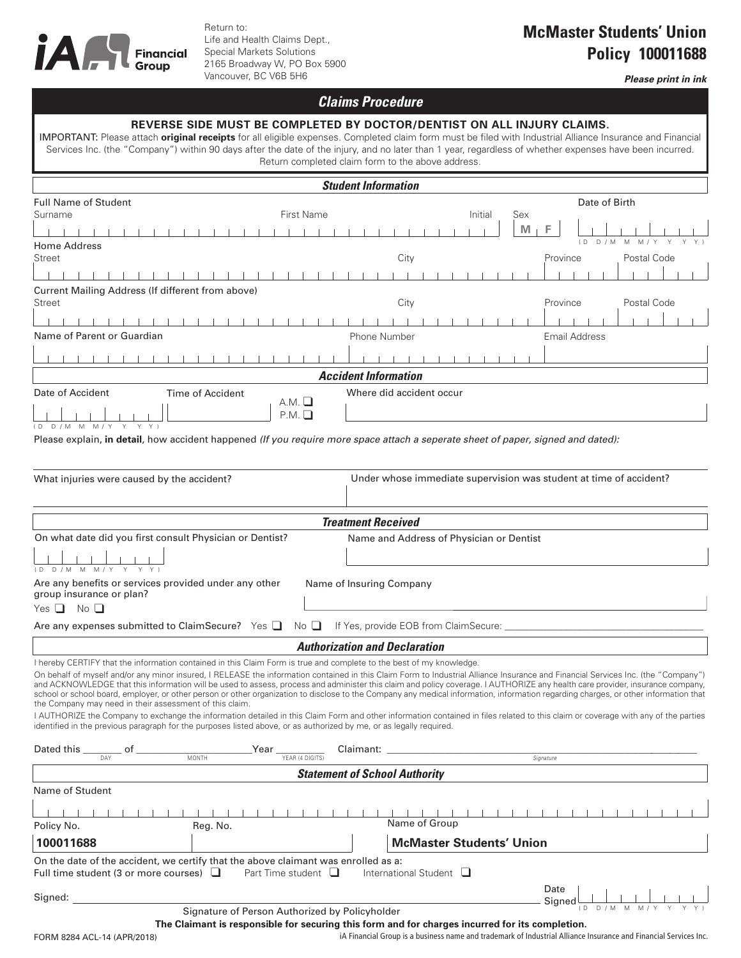

Return to: Life and Health Claims Dept., Special Markets Solutions 2165 Broadway W, PO Box 5900 Vancouver, BC V6B 5H6

## **McMaster Students' Union Policy 100011688**

*Please print in ink*

## *Claims Procedure*

| REVERSE SIDE MUST BE COMPLETED BY DOCTOR/DENTIST ON ALL INJURY CLAIMS.<br>IMPORTANT: Please attach original receipts for all eligible expenses. Completed claim form must be filed with Industrial Alliance Insurance and Financial<br>Services Inc. (the "Company") within 90 days after the date of the injury, and no later than 1 year, regardless of whether expenses have been incurred.<br>Return completed claim form to the above address.                                                                                                                                                                                                                                                                                                                                                                                                                                                                                                                                                                                                                                                |                                                                    |                                    |                                                                                                                 |  |
|----------------------------------------------------------------------------------------------------------------------------------------------------------------------------------------------------------------------------------------------------------------------------------------------------------------------------------------------------------------------------------------------------------------------------------------------------------------------------------------------------------------------------------------------------------------------------------------------------------------------------------------------------------------------------------------------------------------------------------------------------------------------------------------------------------------------------------------------------------------------------------------------------------------------------------------------------------------------------------------------------------------------------------------------------------------------------------------------------|--------------------------------------------------------------------|------------------------------------|-----------------------------------------------------------------------------------------------------------------|--|
| <b>Student Information</b>                                                                                                                                                                                                                                                                                                                                                                                                                                                                                                                                                                                                                                                                                                                                                                                                                                                                                                                                                                                                                                                                         |                                                                    |                                    |                                                                                                                 |  |
| Full Name of Student<br><b>First Name</b><br>Surname<br>Home Address<br>Street<br>1 1 1 1 1 1 1 1<br>Current Mailing Address (If different from above)<br>Street<br>Name of Parent or Guardian                                                                                                                                                                                                                                                                                                                                                                                                                                                                                                                                                                                                                                                                                                                                                                                                                                                                                                     | City<br>City<br>Phone Number                                       | Initial<br>Sex<br>$M_{\perp}$<br>F | Date of Birth<br>( D<br>D / M<br>M<br>M/<br>Postal Code<br>Province<br>Postal Code<br>Province<br>Email Address |  |
|                                                                                                                                                                                                                                                                                                                                                                                                                                                                                                                                                                                                                                                                                                                                                                                                                                                                                                                                                                                                                                                                                                    |                                                                    |                                    |                                                                                                                 |  |
|                                                                                                                                                                                                                                                                                                                                                                                                                                                                                                                                                                                                                                                                                                                                                                                                                                                                                                                                                                                                                                                                                                    | <b>Accident Information</b>                                        |                                    |                                                                                                                 |  |
| Date of Accident<br>Time of Accident<br>А.М. Ц<br>P.M.<br>(DD/MMM/YYYY)<br>Please explain, in detail, how accident happened (If you require more space attach a seperate sheet of paper, signed and dated):                                                                                                                                                                                                                                                                                                                                                                                                                                                                                                                                                                                                                                                                                                                                                                                                                                                                                        | Where did accident occur                                           |                                    |                                                                                                                 |  |
| What injuries were caused by the accident?                                                                                                                                                                                                                                                                                                                                                                                                                                                                                                                                                                                                                                                                                                                                                                                                                                                                                                                                                                                                                                                         | Under whose immediate supervision was student at time of accident? |                                    |                                                                                                                 |  |
| <b>Treatment Received</b>                                                                                                                                                                                                                                                                                                                                                                                                                                                                                                                                                                                                                                                                                                                                                                                                                                                                                                                                                                                                                                                                          |                                                                    |                                    |                                                                                                                 |  |
| On what date did you first consult Physician or Dentist?<br>Name and Address of Physician or Dentist<br>(D D/M MM MYY Y Y)<br>Are any benefits or services provided under any other<br>Name of Insuring Company<br>group insurance or plan?<br>Yes $\Box$<br>$\overline{\mathsf{No}}$ $\Box$                                                                                                                                                                                                                                                                                                                                                                                                                                                                                                                                                                                                                                                                                                                                                                                                       |                                                                    |                                    |                                                                                                                 |  |
| Are any expenses submitted to ClaimSecure? Yes $\Box$<br>$\mathbb N$ o $\Box$<br>If Yes, provide EOB from ClaimSecure:                                                                                                                                                                                                                                                                                                                                                                                                                                                                                                                                                                                                                                                                                                                                                                                                                                                                                                                                                                             |                                                                    |                                    |                                                                                                                 |  |
| <b>Authorization and Declaration</b><br>I hereby CERTIFY that the information contained in this Claim Form is true and complete to the best of my knowledge.<br>On behalf of myself and/or any minor insured, I RELEASE the information contained in this Claim Form to Industrial Alliance Insurance and Financial Services Inc. (the "Company")<br>and ACKNOWLEDGE that this information will be used to assess, process and administer this claim and policy coverage. I AUTHORIZE any health care provider, insurance company,<br>school or school board, employer, or other person or other organization to disclose to the Company any medical information, information regarding charges, or other information that<br>the Company may need in their assessment of this claim.<br>I AUTHORIZE the Company to exchange the information detailed in this Claim Form and other information contained in files related to this claim or coverage with any of the parties<br>identified in the previous paragraph for the purposes listed above, or as authorized by me, or as legally reguired. |                                                                    |                                    |                                                                                                                 |  |
| $_Year$ $_{YEAR (4 DIGITS)}$<br><b>MONTH</b>                                                                                                                                                                                                                                                                                                                                                                                                                                                                                                                                                                                                                                                                                                                                                                                                                                                                                                                                                                                                                                                       | Claimant: _______________________                                  | Signature                          |                                                                                                                 |  |
|                                                                                                                                                                                                                                                                                                                                                                                                                                                                                                                                                                                                                                                                                                                                                                                                                                                                                                                                                                                                                                                                                                    | <b>Statement of School Authority</b>                               |                                    |                                                                                                                 |  |
| Name of Student<br>Policy No.<br>Reg. No.<br>100011688<br>On the date of the accident, we certify that the above claimant was enrolled as a:<br>Full time student (3 or more courses) $\Box$<br>Part Time student $\Box$                                                                                                                                                                                                                                                                                                                                                                                                                                                                                                                                                                                                                                                                                                                                                                                                                                                                           | Name of Group<br>International Student $\Box$                      | <b>McMaster Students' Union</b>    |                                                                                                                 |  |
| Signed:                                                                                                                                                                                                                                                                                                                                                                                                                                                                                                                                                                                                                                                                                                                                                                                                                                                                                                                                                                                                                                                                                            |                                                                    | Date                               | Signed                                                                                                          |  |

**The Claimant is responsible for securing this form and for charges incurred for its completion.**

iA Financial Group is a business name and trademark of Industrial Alliance Insurance and Financial Services Inc.